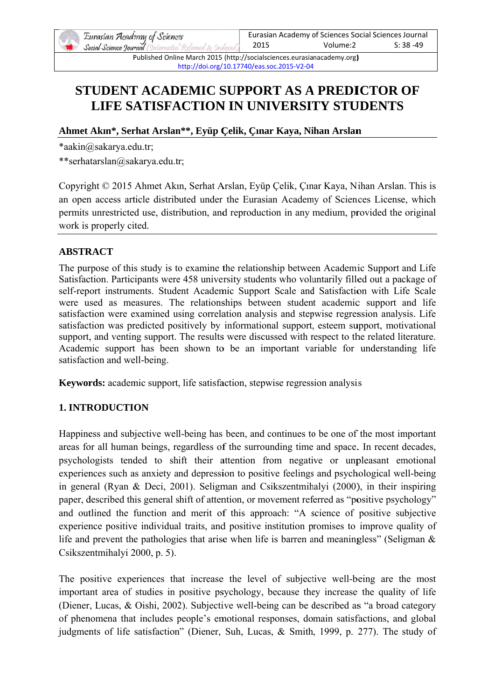

Published Online March 2015 (http://socialsciences.eurasianacademy.org) http://doi.org/10.17740/eas.soc.2015-V2-04

# **STUDENT ACADEMIC SUPPORT AS A PREDICTOR OF** LIFE SATISFACTION IN UNIVERSITY STUDENTS

## Ahmet Akın\*, Serhat Arslan\*\*, Eyüp Çelik, Çınar Kaya, Nihan Arslan

\*aakin@sakarva.edu.tr:

\*\*serhatarslan@sakarya.edu.tr;

Copyright © 2015 Ahmet Akın, Serhat Arslan, Eyüp Çelik, Çınar Kaya, Nihan Arslan. This is an open access article distributed under the Eurasian Academy of Sciences License, which permits unrestricted use, distribution, and reproduction in any medium, provided the original work is properly cited.

## **ABSTRACT**

The purpose of this study is to examine the relationship between Academic Support and Life Satisfaction. Participants were 458 university students who voluntarily filled out a package of self-report instruments. Student Academic Support Scale and Satisfaction with Life Scale were used as measures. The relationships between student academic support and life satisfaction were examined using correlation analysis and stepwise regression analysis. Life satisfaction was predicted positively by informational support, esteem support, motivational support, and venting support. The results were discussed with respect to the related literature. Academic support has been shown to be an important variable for understanding life satisfaction and well-being.

**Keywords:** academic support, life satisfaction, stepwise regression analysis

# **1. INTRODUCTION**

Happiness and subjective well-being has been, and continues to be one of the most important areas for all human beings, regardless of the surrounding time and space. In recent decades, psychologists tended to shift their attention from negative or unpleasant emotional experiences such as anxiety and depression to positive feelings and psychological well-being in general (Ryan & Deci, 2001). Seligman and Csikszentmihalyi (2000), in their inspiring paper, described this general shift of attention, or movement referred as "positive psychology" and outlined the function and merit of this approach: "A science of positive subjective experience positive individual traits, and positive institution promises to improve quality of life and prevent the pathologies that arise when life is barren and meaningless" (Seligman  $\&$ Csikszentmihalyi 2000, p. 5).

The positive experiences that increase the level of subjective well-being are the most important area of studies in positive psychology, because they increase the quality of life (Diener, Lucas, & Oishi, 2002). Subjective well-being can be described as "a broad category of phenomena that includes people's emotional responses, domain satisfactions, and global judgments of life satisfaction" (Diener, Suh, Lucas, & Smith, 1999, p. 277). The study of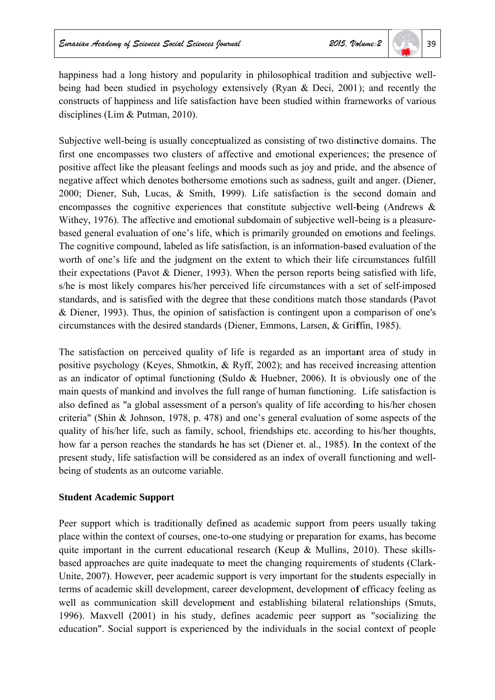happiness had a long history and popularity in philosophical tradition and subjective wellbeing had been studied in psychology extensively (Ryan & Deci, 2001); and recently the constructs of happiness and life satisfaction have been studied within frameworks of various disciplines (Lim  $&$  Putman, 2010).

Subjective well-being is usually conceptualized as consisting of two distinctive domains. The first one encompasses two clusters of affective and emotional experiences; the presence of positive affect like the pleasant feelings and moods such as joy and pride, and the absence of negative affect which denotes bothersome emotions such as sadness, guilt and anger. (Diener, 2000; Diener, Suh, Lucas, & Smith, 1999). Life satisfaction is the second domain and encompasses the cognitive experiences that constitute subjective well-being (Andrews  $\&$ Withey, 1976). The affective and emotional subdomain of subjective well-being is a pleasurebased general evaluation of one's life, which is primarily grounded on emotions and feelings. The cognitive compound, labeled as life satisfaction, is an information-based evaluation of the worth of one's life and the judgment on the extent to which their life circumstances fulfill their expectations (Pavot & Diener, 1993). When the person reports being satisfied with life, s/he is most likely compares his/her perceived life circumstances with a set of self-imposed standards, and is satisfied with the degree that these conditions match those standards (Pavot & Diener, 1993). Thus, the opinion of satisfaction is contingent upon a comparison of one's circumstances with the desired standards (Diener, Emmons, Larsen, & Griffin, 1985).

The satisfaction on perceived quality of life is regarded as an important area of study in positive psychology (Keyes, Shmotkin, & Ryff, 2002); and has received increasing attention as an indicator of optimal functioning (Suldo & Huebner, 2006). It is obviously one of the main quests of mankind and involves the full range of human functioning. Life satisfaction is also defined as "a global assessment of a person's quality of life according to his/her chosen criteria" (Shin & Johnson, 1978, p. 478) and one's general evaluation of some aspects of the quality of his/her life, such as family, school, friendships etc. according to his/her thoughts, how far a person reaches the standards he has set (Diener et. al., 1985). In the context of the present study, life satisfaction will be considered as an index of overall functioning and wellbeing of students as an outcome variable.

### **Student Academic Support**

Peer support which is traditionally defined as academic support from peers usually taking place within the context of courses, one-to-one studying or preparation for exams, has become quite important in the current educational research (Keup & Mullins, 2010). These skillsbased approaches are quite inadequate to meet the changing requirements of students (Clark-Unite, 2007). However, peer academic support is very important for the students especially in terms of academic skill development, career development, development of efficacy feeling as well as communication skill development and establishing bilateral relationships (Smuts, 1996). Maxvell (2001) in his study, defines academic peer support as "socializing the education". Social support is experienced by the individuals in the social context of people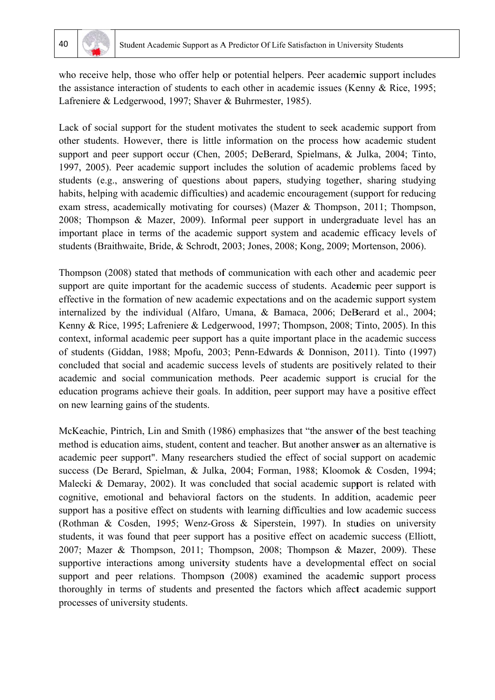

who receive help, those who offer help or potential helpers. Peer academic support includes the assistance interaction of students to each other in academic issues (Kenny & Rice, 1995; Lafreniere & Ledgerwood, 1997; Shaver & Buhrmester, 1985).

Lack of social support for the student motivates the student to seek academic support from other students. However, there is little information on the process how academic student support and peer support occur (Chen, 2005; DeBerard, Spielmans, & Julka, 2004; Tinto, 1997, 2005). Peer academic support includes the solution of academic problems faced by students (e.g., answering of questions about papers, studying together, sharing studying habits, helping with academic difficulties) and academic encouragement (support for reducing exam stress, academically motivating for courses) (Mazer & Thompson, 2011; Thompson, 2008; Thompson & Mazer, 2009). Informal peer support in undergraduate level has an important place in terms of the academic support system and academic efficacy levels of students (Braithwaite, Bride, & Schrodt, 2003; Jones, 2008; Kong, 2009; Mortenson, 2006).

Thompson (2008) stated that methods of communication with each other and academic peer support are quite important for the academic success of students. Academic peer support is effective in the formation of new academic expectations and on the academic support system internalized by the individual (Alfaro, Umana, & Bamaca, 2006; DeBerard et al., 2004; Kenny & Rice, 1995; Lafreniere & Ledgerwood, 1997; Thompson, 2008; Tinto, 2005). In this context, informal academic peer support has a quite important place in the academic success of students (Giddan, 1988; Mpofu, 2003; Penn-Edwards & Donnison, 2011). Tinto (1997) concluded that social and academic success levels of students are positively related to their academic and social communication methods. Peer academic support is crucial for the education programs achieve their goals. In addition, peer support may have a positive effect on new learning gains of the students.

McKeachie, Pintrich, Lin and Smith (1986) emphasizes that "the answer of the best teaching method is education aims, student, content and teacher. But another answer as an alternative is academic peer support". Many researchers studied the effect of social support on academic success (De Berard, Spielman, & Julka, 2004; Forman, 1988; Kloomok & Cosden, 1994; Malecki & Demaray, 2002). It was concluded that social academic support is related with cognitive, emotional and behavioral factors on the students. In addition, academic peer support has a positive effect on students with learning difficulties and low academic success (Rothman & Cosden, 1995; Wenz-Gross & Siperstein, 1997). In studies on university students, it was found that peer support has a positive effect on academic success (Elliott, 2007; Mazer & Thompson, 2011; Thompson, 2008; Thompson & Mazer, 2009). These supportive interactions among university students have a developmental effect on social support and peer relations. Thompson (2008) examined the academic support process thoroughly in terms of students and presented the factors which affect academic support processes of university students.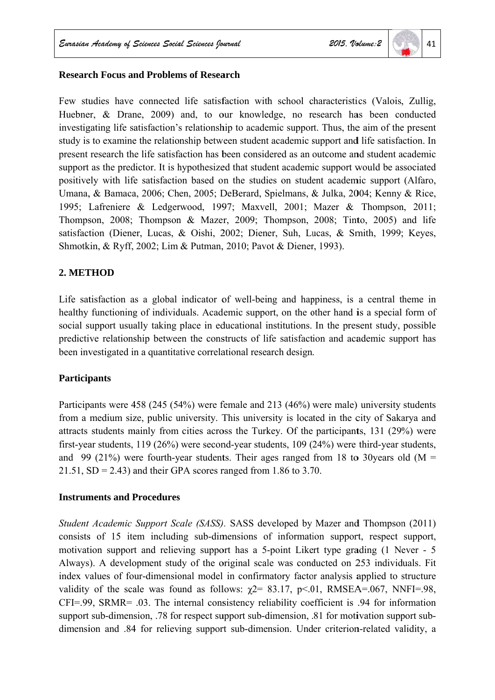# 41

#### **Research Focus and Problems of Research**

Few studies have connected life satisfaction with school characteristics (Valois, Zullig, Huebner, & Drane, 2009) and, to our knowledge, no research has been conducted investigating life satisfaction's relationship to academic support. Thus, the aim of the present study is to examine the relationship between student academic support and life satisfaction. In present research the life satisfaction has been considered as an outcome and student academic support as the predictor. It is hypothesized that student academic support would be associated positively with life satisfaction based on the studies on student academic support (Alfaro, Umana, & Bamaca, 2006; Chen, 2005; DeBerard, Spielmans, & Julka, 2004; Kenny & Rice, 1995; Lafreniere & Ledgerwood, 1997; Maxvell, 2001; Mazer & Thompson, 2011; Thompson, 2008; Thompson & Mazer, 2009; Thompson, 2008; Tinto, 2005) and life satisfaction (Diener, Lucas, & Oishi, 2002; Diener, Suh, Lucas, & Smith, 1999; Keves, Shmotkin, & Ryff, 2002; Lim & Putman, 2010; Pavot & Diener, 1993).

### 2. METHOD

Life satisfaction as a global indicator of well-being and happiness, is a central theme in healthy functioning of individuals. Academic support, on the other hand is a special form of social support usually taking place in educational institutions. In the present study, possible predictive relationship between the constructs of life satisfaction and academic support has been investigated in a quantitative correlational research design.

### **Participants**

Participants were 458 (245 (54%) were female and 213 (46%) were male) university students from a medium size, public university. This university is located in the city of Sakarya and attracts students mainly from cities across the Turkey. Of the participants, 131 (29%) were first-year students,  $119(26%)$  were second-year students,  $109(24%)$  were third-year students, and 99 (21%) were fourth-year students. Their ages ranged from 18 to 30 years old ( $M =$  $21.51$ , SD = 2.43) and their GPA scores ranged from 1.86 to 3.70.

#### **Instruments and Procedures**

Student Academic Support Scale (SASS). SASS developed by Mazer and Thompson (2011) consists of 15 item including sub-dimensions of information support, respect support, motivation support and relieving support has a 5-point Likert type grading (1 Never - 5 Always). A development study of the original scale was conducted on 253 individuals. Fit index values of four-dimensional model in confirmatory factor analysis applied to structure validity of the scale was found as follows:  $\gamma$ 2= 83.17, p<.01, RMSEA=.067, NNFI=.98,  $CFI = .99$ ,  $SRMR = .03$ . The internal consistency reliability coefficient is  $.94$  for information support sub-dimension, .78 for respect support sub-dimension, .81 for motivation support subdimension and .84 for relieving support sub-dimension. Under criterion-related validity, a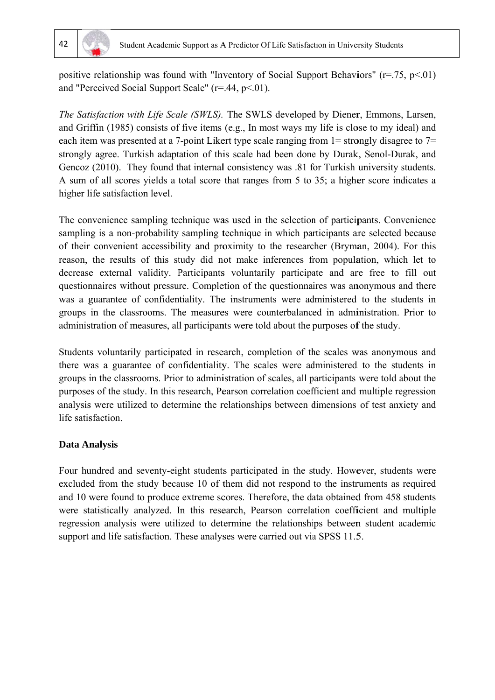

positive relationship was found with "Inventory of Social Support Behaviors"  $(r=.75, p<.01)$ and "Perceived Social Support Scale" ( $r = .44$ ,  $p < .01$ ).

The Satisfaction with Life Scale (SWLS). The SWLS developed by Diener, Emmons, Larsen, and Griffin (1985) consists of five items (e.g., In most ways my life is close to my ideal) and each item was presented at a 7-point Likert type scale ranging from  $1 =$  strongly disagree to  $7 =$ strongly agree. Turkish adaptation of this scale had been done by Durak, Senol-Durak, and Gencoz (2010). They found that internal consistency was .81 for Turkish university students. A sum of all scores yields a total score that ranges from 5 to 35; a higher score indicates a higher life satisfaction level.

The convenience sampling technique was used in the selection of participants. Convenience sampling is a non-probability sampling technique in which participants are selected because of their convenient accessibility and proximity to the researcher (Bryman, 2004). For this reason, the results of this study did not make inferences from population, which let to decrease external validity. Participants voluntarily participate and are free to fill out questionnaires without pressure. Completion of the questionnaires was anonymous and there was a guarantee of confidentiality. The instruments were administered to the students in groups in the classrooms. The measures were counterbalanced in administration. Prior to administration of measures, all participants were told about the purposes of the study.

Students voluntarily participated in research, completion of the scales was anonymous and there was a guarantee of confidentiality. The scales were administered to the students in groups in the classrooms. Prior to administration of scales, all participants were told about the purposes of the study. In this research, Pearson correlation coefficient and multiple regression analysis were utilized to determine the relationships between dimensions of test anxiety and life satisfaction.

### **Data Analysis**

Four hundred and seventy-eight students participated in the study. However, students were excluded from the study because 10 of them did not respond to the instruments as required and 10 were found to produce extreme scores. Therefore, the data obtained from 458 students were statistically analyzed. In this research, Pearson correlation coefficient and multiple regression analysis were utilized to determine the relationships between student academic support and life satisfaction. These analyses were carried out via SPSS 11.5.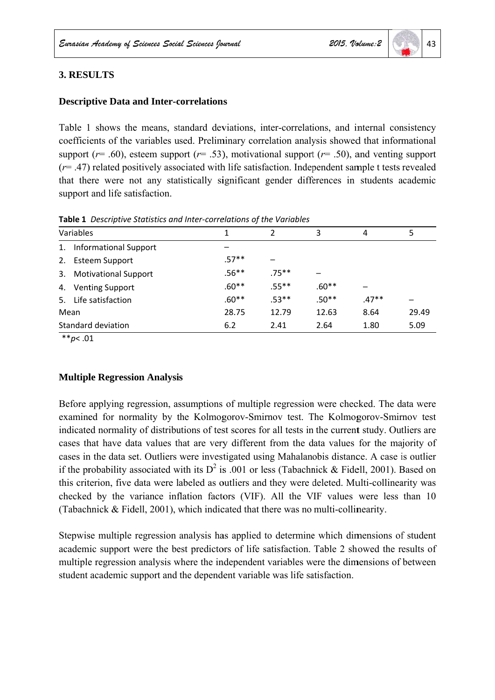# 43

## **3. RESULTS**

#### **Descriptive Data and Inter-correlations**

Table 1 shows the means, standard deviations, inter-correlations, and internal consistency coefficients of the variables used. Preliminary correlation analysis showed that informational support ( $r = .60$ ), esteem support ( $r = .53$ ), motivational support ( $r = .50$ ), and venting support  $(r=$  .47) related positively associated with life satisfaction. Independent sample t tests revealed that there were not any statistically significant gender differences in students academic support and life satisfaction.

Table 1 Descriptive Statistics and Inter-correlations of the Variables

| Variables          |                              |         | $\overline{2}$           | 3       | 4       | 5     |  |
|--------------------|------------------------------|---------|--------------------------|---------|---------|-------|--|
| 1.                 | <b>Informational Support</b> |         |                          |         |         |       |  |
| 2.                 | <b>Esteem Support</b>        | $.57**$ | $\overline{\phantom{0}}$ |         |         |       |  |
| 3.                 | <b>Motivational Support</b>  | $.56**$ | .75**                    |         |         |       |  |
| 4.                 | <b>Venting Support</b>       | $.60**$ | $.55***$                 | $.60**$ |         |       |  |
| 5.                 | Life satisfaction            | $.60**$ | $.53**$                  | $.50**$ | $.47**$ |       |  |
| Mean               |                              | 28.75   | 12.79                    | 12.63   | 8.64    | 29.49 |  |
| Standard deviation |                              | 6.2     | 2.41                     | 2.64    | 1.80    | 5.09  |  |

\*\* $p$  < .01

#### **Multiple Regression Analysis**

Before applying regression, assumptions of multiple regression were checked. The data were examined for normality by the Kolmogorov-Smirnov test. The Kolmogorov-Smirnov test indicated normality of distributions of test scores for all tests in the current study. Outliers are cases that have data values that are very different from the data values for the majority of cases in the data set. Outliers were investigated using Mahalanobis distance. A case is outlier if the probability associated with its  $D^2$  is 0.01 or less (Tabachnick & Fidell, 2001). Based on this criterion, five data were labeled as outliers and they were deleted. Multi-collinearity was checked by the variance inflation factors (VIF). All the VIF values were less than 10 (Tabachnick & Fidell, 2001), which indicated that there was no multi-collinearity.

Stepwise multiple regression analysis has applied to determine which dimensions of student academic support were the best predictors of life satisfaction. Table 2 showed the results of multiple regression analysis where the independent variables were the dimensions of between student academic support and the dependent variable was life satisfaction.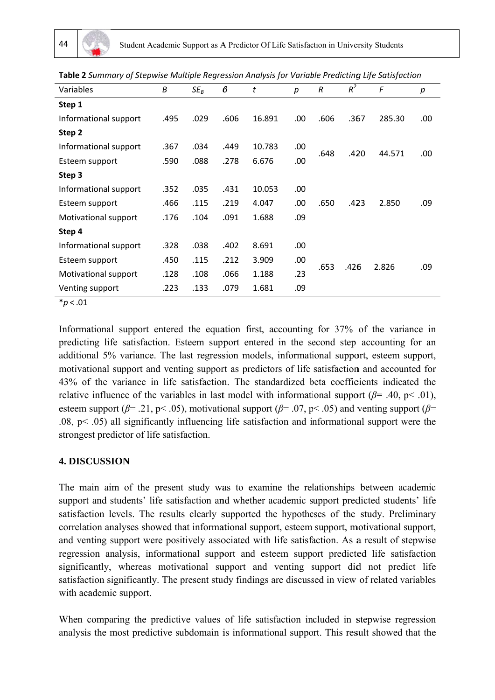| Variables             | Β    | $SE_B$ | $\pmb{\beta}$ | t      | р   | R    | $R^2$ | F      | р   |
|-----------------------|------|--------|---------------|--------|-----|------|-------|--------|-----|
| Step 1                |      |        |               |        |     |      |       |        |     |
| Informational support | .495 | .029   | .606          | 16.891 | .00 | .606 | .367  | 285.30 | .00 |
| Step 2                |      |        |               |        |     |      |       |        |     |
| Informational support | .367 | .034   | .449          | 10.783 | .00 | .648 | .420  | 44.571 | .00 |
| Esteem support        | .590 | .088   | .278          | 6.676  | .00 |      |       |        |     |
| Step 3                |      |        |               |        |     |      |       |        |     |
| Informational support | .352 | .035   | .431          | 10.053 | .00 |      | .423  | 2.850  |     |
| Esteem support        | .466 | .115   | .219          | 4.047  | .00 | .650 |       |        | .09 |
| Motivational support  | .176 | .104   | .091          | 1.688  | .09 |      |       |        |     |
| Step 4                |      |        |               |        |     |      |       |        |     |
| Informational support | .328 | .038   | .402          | 8.691  | .00 |      | .426  | 2.826  | .09 |
| Esteem support        | .450 | .115   | .212          | 3.909  | .00 | .653 |       |        |     |
| Motivational support  | .128 | .108   | .066          | 1.188  | .23 |      |       |        |     |
| Venting support       | .223 | .133   | .079          | 1.681  | .09 |      |       |        |     |
|                       |      |        |               |        |     |      |       |        |     |

Table 2 Summary of Stepwise Multiple Regression Analysis for Variable Predicting Life Satisfaction

 $*<sub>p</sub> < .01$ 

Informational support entered the equation first, accounting for 37% of the variance in predicting life satisfaction. Esteem support entered in the second step accounting for an additional 5% variance. The last regression models, informational support, esteem support, motivational support and venting support as predictors of life satisfaction and accounted for 43% of the variance in life satisfaction. The standardized beta coefficients indicated the relative influence of the variables in last model with informational support ( $\beta$ = .40, p< .01), esteem support ( $\beta$ = .21, p< .05), motivational support ( $\beta$ = .07, p< .05) and venting support ( $\beta$ =  $(0.08, p< 0.05)$  all significantly influencing life satisfaction and informational support were the strongest predictor of life satisfaction.

# **4. DISCUSSION**

The main aim of the present study was to examine the relationships between academic support and students' life satisfaction and whether academic support predicted students' life satisfaction levels. The results clearly supported the hypotheses of the study. Preliminary correlation analyses showed that informational support, esteem support, motivational support, and venting support were positively associated with life satisfaction. As a result of stepwise regression analysis, informational support and esteem support predicted life satisfaction significantly, whereas motivational support and venting support did not predict life satisfaction significantly. The present study findings are discussed in view of related variables with academic support.

When comparing the predictive values of life satisfaction included in stepwise regression analysis the most predictive subdomain is informational support. This result showed that the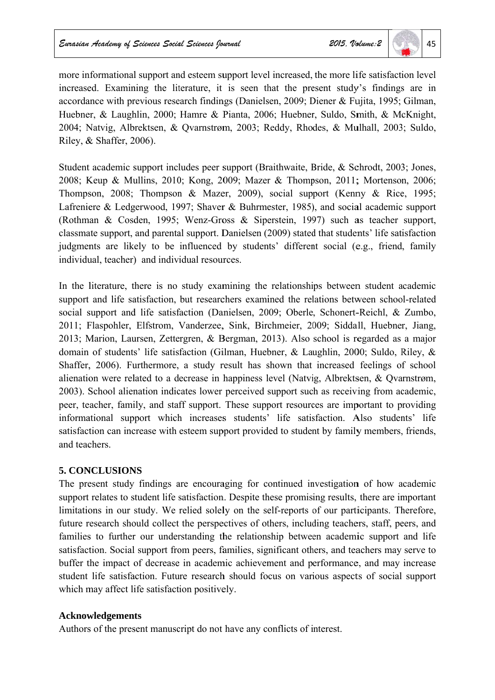more informational support and esteem support level increased, the more life satisfaction level increased. Examining the literature, it is seen that the present study's findings are in accordance with previous research findings (Danielsen, 2009; Diener & Fujita, 1995; Gilman, Huebner, & Laughlin, 2000; Hamre & Pianta, 2006; Huebner, Suldo, Smith, & McKnight, 2004; Natvig, Albrektsen, & Qvarnstrøm, 2003; Reddy, Rhodes, & Mulhall, 2003; Suldo, Riley, & Shaffer, 2006).

Student academic support includes peer support (Braithwaite, Bride, & Schrodt, 2003; Jones, 2008; Keup & Mullins, 2010; Kong, 2009; Mazer & Thompson, 2011; Mortenson, 2006; Thompson, 2008; Thompson & Mazer, 2009), social support (Kenny & Rice, 1995; Lafreniere & Ledgerwood, 1997; Shaver & Buhrmester, 1985), and social academic support (Rothman & Cosden, 1995; Wenz-Gross & Siperstein, 1997) such as teacher support, classmate support, and parental support. Danielsen (2009) stated that students' life satisfaction judgments are likely to be influenced by students' different social (e.g., friend, family individual, teacher) and individual resources.

In the literature, there is no study examining the relationships between student academic support and life satisfaction, but researchers examined the relations between school-related social support and life satisfaction (Danielsen, 2009; Oberle, Schonert-Reichl, & Zumbo, 2011; Flaspohler, Elfstrom, Vanderzee, Sink, Birchmeier, 2009; Siddall, Huebner, Jiang, 2013; Marion, Laursen, Zettergren, & Bergman, 2013). Also school is regarded as a major domain of students' life satisfaction (Gilman, Huebner, & Laughlin, 2000; Suldo, Riley, & Shaffer, 2006). Furthermore, a study result has shown that increased feelings of school alienation were related to a decrease in happiness level (Natvig, Albrektsen, & Qvarnstrøm, 2003). School alienation indicates lower perceived support such as receiving from academic, peer, teacher, family, and staff support. These support resources are important to providing informational support which increases students' life satisfaction. Also students' life satisfaction can increase with esteem support provided to student by family members, friends, and teachers.

# **5. CONCLUSIONS**

The present study findings are encouraging for continued investigation of how academic support relates to student life satisfaction. Despite these promising results, there are important limitations in our study. We relied solely on the self-reports of our participants. Therefore, future research should collect the perspectives of others, including teachers, staff, peers, and families to further our understanding the relationship between academic support and life satisfaction. Social support from peers, families, significant others, and teachers may serve to buffer the impact of decrease in academic achievement and performance, and may increase student life satisfaction. Future research should focus on various aspects of social support which may affect life satisfaction positively.

# **Acknowledgements**

Authors of the present manuscript do not have any conflicts of interest.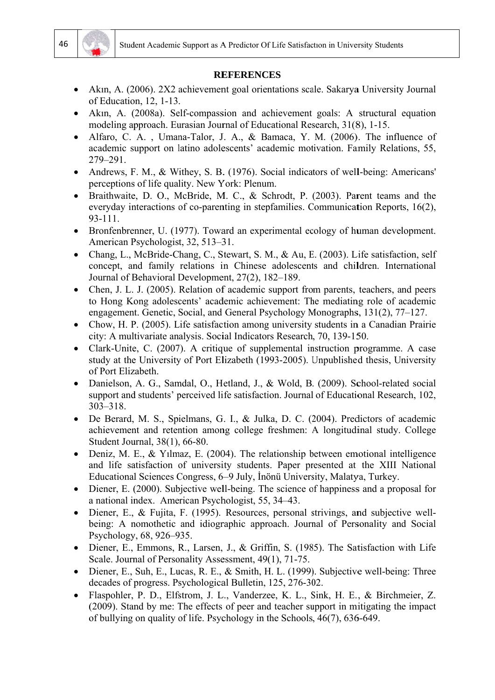

#### **REFERENCES**

- Akin, A. (2006). 2X2 achievement goal orientations scale. Sakarya University Journal of Education, 12, 1-13.
- Akin, A. (2008a). Self-compassion and achievement goals: A structural equation modeling approach. Eurasian Journal of Educational Research, 31(8), 1-15.
- Alfaro, C. A., Umana-Talor, J. A., & Bamaca, Y. M. (2006). The influence of academic support on latino adolescents' academic motivation. Family Relations, 55, 279-291.
- Andrews, F. M., & Withey, S. B. (1976). Social indicators of well-being: Americans' perceptions of life quality. New York: Plenum.
- Braithwaite, D. O., McBride, M. C., & Schrodt, P. (2003). Parent teams and the everyday interactions of co-parenting in stepfamilies. Communication Reports, 16(2), 93-111.
- Bronfenbrenner, U. (1977). Toward an experimental ecology of human development. American Psychologist, 32, 513–31.
- Chang, L., McBride-Chang, C., Stewart, S. M., & Au, E. (2003). Life satisfaction, self concept, and family relations in Chinese adolescents and children. International Journal of Behavioral Development, 27(2), 182-189.
- Chen, J. L. J. (2005). Relation of academic support from parents, teachers, and peers  $\bullet$ to Hong Kong adolescents' academic achievement: The mediating role of academic engagement. Genetic, Social, and General Psychology Monographs, 131(2), 77–127.
- Chow, H. P. (2005). Life satisfaction among university students in a Canadian Prairie  $\bullet$ city: A multivariate analysis. Social Indicators Research, 70, 139-150.
- Clark-Unite, C. (2007). A critique of supplemental instruction programme. A case study at the University of Port Elizabeth (1993-2005). Unpublished thesis. University of Port Elizabeth.
- Danielson, A. G., Samdal, O., Hetland, J., & Wold, B. (2009). School-related social  $\bullet$ support and students' perceived life satisfaction. Journal of Educational Research, 102,  $303 - 318$
- De Berard, M. S., Spielmans, G. I., & Julka, D. C. (2004). Predictors of academic achievement and retention among college freshmen: A longitudinal study. College Student Journal, 38(1), 66-80.
- Deniz, M. E., & Yılmaz, E. (2004). The relationship between emotional intelligence and life satisfaction of university students. Paper presented at the XIII National Educational Sciences Congress, 6–9 July, İnönü University, Malatya, Turkey.
- Diener, E. (2000). Subjective well-being. The science of happiness and a proposal for a national index. American Psychologist, 55, 34–43.
- Diener, E., & Fujita, F. (1995). Resources, personal strivings, and subjective wellbeing: A nomothetic and idiographic approach. Journal of Personality and Social Psychology, 68, 926–935.
- Diener, E., Emmons, R., Larsen, J., & Griffin, S. (1985). The Satisfaction with Life Scale. Journal of Personality Assessment, 49(1), 71-75.
- Diener, E., Suh, E., Lucas, R. E., & Smith, H. L. (1999). Subjective well-being: Three decades of progress. Psychological Bulletin, 125, 276-302.
- Flaspohler, P. D., Elfstrom, J. L., Vanderzee, K. L., Sink, H. E., & Birchmeier, Z.  $\bullet$ (2009). Stand by me: The effects of peer and teacher support in mitigating the impact of bullying on quality of life. Psychology in the Schools, 46(7), 636-649.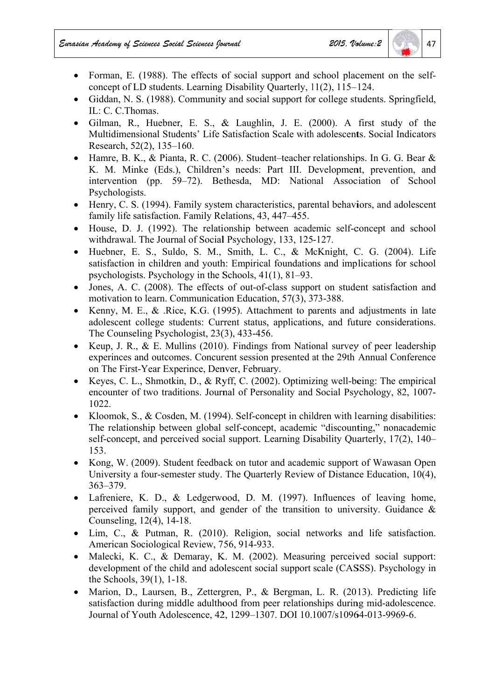- Forman, E. (1988). The effects of social support and school placement on the selfconcept of LD students. Learning Disability Ouarterly, 11(2), 115–124.
- Giddan, N. S. (1988). Community and social support for college students. Springfield. IL: C. C. Thomas.
- Gilman, R., Huebner, E. S., & Laughlin, J. E. (2000). A first study of the Multidimensional Students' Life Satisfaction Scale with adolescents. Social Indicators Research, 52(2), 135–160.
- Hamre, B. K., & Pianta, R. C. (2006). Student-teacher relationships. In G. G. Bear & K. M. Minke (Eds.), Children's needs: Part III. Development, prevention, and intervention (pp. 59–72). Bethesda, MD: National Association of School Psychologists.
- Henry, C. S. (1994). Family system characteristics, parental behaviors, and adolescent family life satisfaction. Family Relations, 43, 447–455.
- House, D. J. (1992). The relationship between academic self-concept and school withdrawal. The Journal of Social Psychology, 133, 125-127.
- Huebner, E. S., Suldo, S. M., Smith, L. C., & McKnight, C. G. (2004). Life satisfaction in children and youth: Empirical foundations and implications for school psychologists. Psychology in the Schools,  $41(1)$ ,  $81-93$ .
- Jones, A. C. (2008). The effects of out-of-class support on student satisfaction and motivation to learn. Communication Education, 57(3), 373-388.
- Kenny, M. E., & .Rice, K.G. (1995). Attachment to parents and adjustments in late  $\bullet$ adolescent college students: Current status, applications, and future considerations. The Counseling Psychologist, 23(3), 433-456.
- Keup, J. R., & E. Mullins (2010). Findings from National survey of peer leadership  $\bullet$ experinces and outcomes. Concurent session presented at the 29th Annual Conference on The First-Year Experince, Denver, February.
- Keyes, C. L., Shmotkin, D., & Ryff, C. (2002). Optimizing well-being: The empirical  $\bullet$ encounter of two traditions. Journal of Personality and Social Psychology, 82, 1007-1022.
- Kloomok, S., & Cosden, M. (1994). Self-concept in children with learning disabilities:  $\bullet$ The relationship between global self-concept, academic "discounting," nonacademic self-concept, and perceived social support. Learning Disability Quarterly, 17(2), 140– 153.
- Kong, W. (2009). Student feedback on tutor and academic support of Wawasan Open  $\bullet$ University a four-semester study. The Quarterly Review of Distance Education, 10(4),  $363 - 379$ .
- Lafreniere, K. D., & Ledgerwood, D. M. (1997). Influences of leaving home, perceived family support, and gender of the transition to university. Guidance  $\&$ Counseling, 12(4), 14-18.
- Lim. C., & Putman, R. (2010). Religion, social networks and life satisfaction. American Sociological Review, 756, 914-933.
- Malecki, K. C., & Demaray, K. M. (2002). Measuring perceived social support: development of the child and adolescent social support scale (CASSS). Psychology in the Schools, 39(1), 1-18.
- Marion, D., Laursen, B., Zettergren, P., & Bergman, L. R. (2013). Predicting life  $\bullet$ satisfaction during middle adulthood from peer relationships during mid-adolescence. Journal of Youth Adolescence, 42, 1299–1307, DOI 10.1007/s10964-013-9969-6.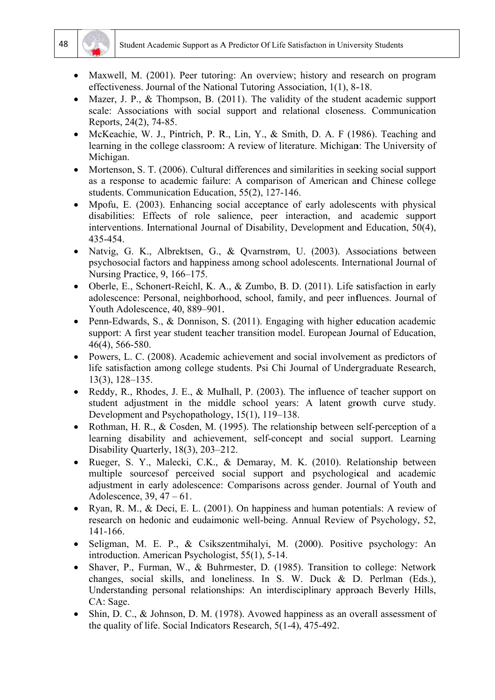



- Maxwell, M. (2001). Peer tutoring: An overview; history and research on program effectiveness. Journal of the National Tutoring Association, 1(1), 8-18.
- Mazer, J. P., & Thompson, B. (2011). The validity of the student academic support scale: Associations with social support and relational closeness. Communication Reports, 24(2), 74-85.
- McKeachie, W. J., Pintrich, P. R., Lin, Y., & Smith, D. A. F (1986). Teaching and learning in the college classroom: A review of literature. Michigan: The University of Michigan.
- Mortenson, S. T. (2006). Cultural differences and similarities in seeking social support  $\bullet$ as a response to academic failure: A comparison of American and Chinese college students. Communication Education, 55(2), 127-146.
- Mpofu, E. (2003). Enhancing social acceptance of early adolescents with physical  $\bullet$ disabilities: Effects of role salience, peer interaction, and academic support interventions. International Journal of Disability, Development and Education, 50(4), 435-454.
- Natvig, G. K., Albrektsen, G., & Ovarnstrøm, U. (2003). Associations between psychosocial factors and happiness among school adolescents. International Journal of Nursing Practice, 9, 166–175.
- Oberle, E., Schonert-Reichl, K. A., & Zumbo, B. D. (2011). Life satisfaction in early adolescence: Personal, neighborhood, school, family, and peer influences. Journal of Youth Adolescence, 40, 889-901.
- Penn-Edwards, S., & Donnison, S.  $(2011)$ . Engaging with higher education academic support: A first year student teacher transition model. European Journal of Education. 46(4), 566-580.
- Powers, L. C. (2008). Academic achievement and social involvement as predictors of life satisfaction among college students. Psi Chi Journal of Undergraduate Research,  $13(3)$ ,  $128-135$ .
- Reddy, R., Rhodes, J. E., & Mulhall, P. (2003). The influence of teacher support on  $\bullet$ student adjustment in the middle school years: A latent growth curve study. Development and Psychopathology, 15(1), 119–138.
- Rothman, H. R., & Cosden, M. (1995). The relationship between self-perception of a  $\bullet$ learning disability and achievement, self-concept and social support. Learning Disability Quarterly, 18(3), 203-212.
- Rueger, S. Y., Malecki, C.K., & Demaray, M. K. (2010). Relationship between multiple sources of perceived social support and psychological and academic adjustment in early adolescence: Comparisons across gender. Journal of Youth and Adolescence,  $39, 47 - 61$ .
- Ryan, R. M., & Deci, E. L. (2001). On happiness and human potentials: A review of research on hedonic and eudaimonic well-being. Annual Review of Psychology, 52, 141-166.
- Seligman, M. E. P., & Csikszentmihalyi, M. (2000). Positive psychology: An introduction. American Psychologist, 55(1), 5-14.
- Shaver, P., Furman, W., & Buhrmester, D. (1985). Transition to college: Network  $\bullet$ changes, social skills, and loneliness. In  $S$ . W. Duck & D. Perlman (Eds.), Understanding personal relationships: An interdisciplinary approach Beverly Hills, CA: Sage.
- $\bullet$ Shin, D. C., & Johnson, D. M. (1978). Avowed happiness as an overall assessment of the quality of life. Social Indicators Research, 5(1-4), 475-492.